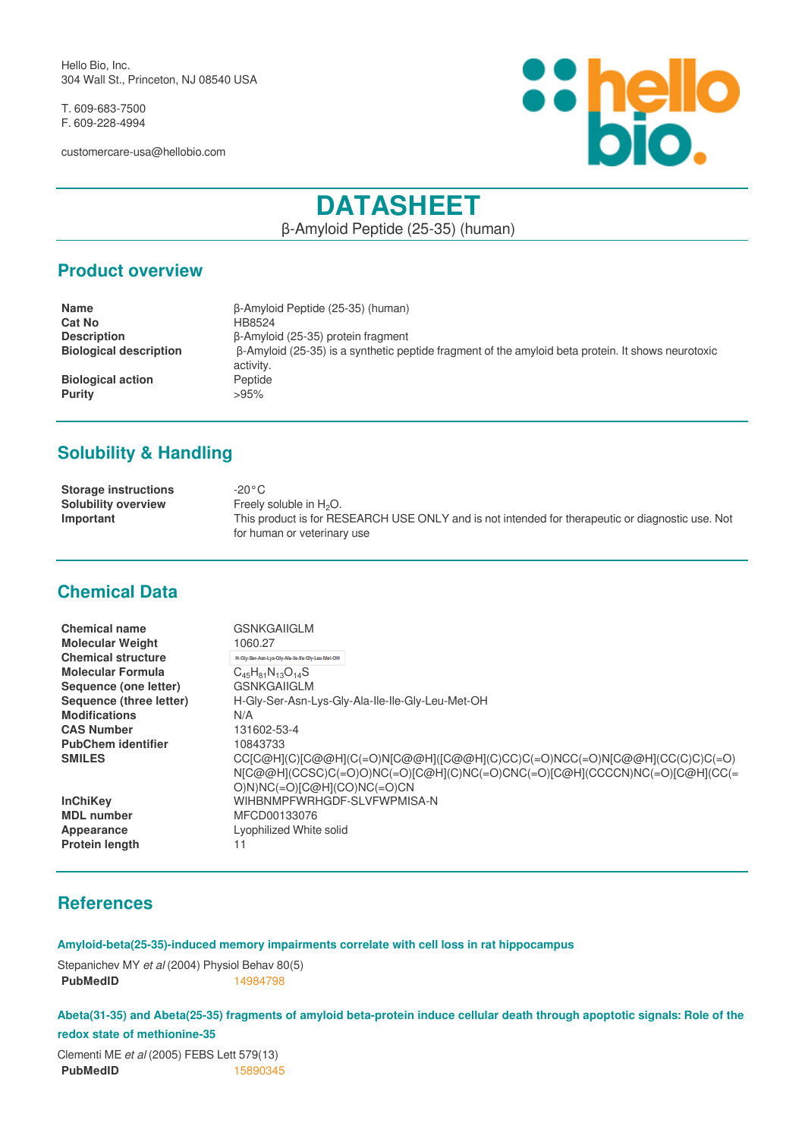Hello Bio, Inc. 304 Wall St., Princeton, NJ 08540 USA

T. 609-683-7500 F. 609-228-4994

customercare-usa@hellobio.com



# **DATASHEET**

β-Amyloid Peptide (25-35) (human)

#### **Product overview**

| <b>Name</b>                   | B-Amyloid Peptide (25-35) (human)                                                                         |
|-------------------------------|-----------------------------------------------------------------------------------------------------------|
| <b>Cat No</b>                 | HB8524                                                                                                    |
| <b>Description</b>            | B-Amyloid (25-35) protein fragment                                                                        |
| <b>Biological description</b> | $\beta$ -Amyloid (25-35) is a synthetic peptide fragment of the amyloid beta protein. It shows neurotoxic |
|                               | activity.                                                                                                 |
| <b>Biological action</b>      | Peptide                                                                                                   |
| <b>Purity</b>                 | >95%                                                                                                      |

## **Solubility & Handling**

| <b>Storage instructions</b> | -20°C.                                                                                           |
|-----------------------------|--------------------------------------------------------------------------------------------------|
| <b>Solubility overview</b>  | Freely soluble in $H_2O$ .                                                                       |
| Important                   | This product is for RESEARCH USE ONLY and is not intended for therapeutic or diagnostic use. Not |
|                             | for human or veterinary use                                                                      |

## **Chemical Data**

| <b>Chemical name</b><br><b>Molecular Weight</b> | <b>GSNKGAIIGLM</b><br>1060.27                                                                                                                                                              |
|-------------------------------------------------|--------------------------------------------------------------------------------------------------------------------------------------------------------------------------------------------|
| <b>Chemical structure</b>                       | H-Gly-Ser-Asn-Lys-Gly-Ala-Ile-Ile-Gly-Leu-Met-OH                                                                                                                                           |
| <b>Molecular Formula</b>                        | $C_{45}H_{81}N_{13}O_{14}S$                                                                                                                                                                |
| Sequence (one letter)                           | <b>GSNKGAIIGLM</b>                                                                                                                                                                         |
| Sequence (three letter)                         | H-Gly-Ser-Asn-Lys-Gly-Ala-Ile-Ile-Gly-Leu-Met-OH                                                                                                                                           |
| <b>Modifications</b>                            | N/A                                                                                                                                                                                        |
| <b>CAS Number</b>                               | 131602-53-4                                                                                                                                                                                |
| <b>PubChem identifier</b>                       | 10843733                                                                                                                                                                                   |
| <b>SMILES</b>                                   | CC[C@H](C)[C@@H](C(=O)N[C@@H]([C@@H](C)CC)C(=O)NCC(=O)N[C@@H](CC(C)C)C(=O)<br>N[C@@H](CCSC)C(=O)O)NC(=O)[C@H](C)NC(=O)CNC(=O)[C@H](CCCCN)NC(=O)[C@H](CC(=<br>$O(N)NC(=O)[C@H](CO)NC(=O)CN$ |
| <b>InChiKey</b>                                 | WIHBNMPFWRHGDF-SLVFWPMISA-N                                                                                                                                                                |
| <b>MDL</b> number                               | MFCD00133076                                                                                                                                                                               |
| Appearance                                      | Lyophilized White solid                                                                                                                                                                    |
| <b>Protein length</b>                           | 11                                                                                                                                                                                         |

## **References**

**Amyloid-beta(25-35)-induced memory impairments correlate with cell loss in rat hippocampus**

Stepanichev MY *et al* (2004) Physiol Behav 80(5) **PubMedID** [14984798](https://www.ncbi.nlm.nih.gov/pubmed/14984798)

**Abeta(31-35) and Abeta(25-35) fragments of amyloid beta-protein induce cellular death through apoptotic signals: Role of the redox state of methionine-35**

Clementi ME *et al* (2005) FEBS Lett 579(13) **PubMedID** [15890345](https://www.ncbi.nlm.nih.gov/pubmed/15890345)